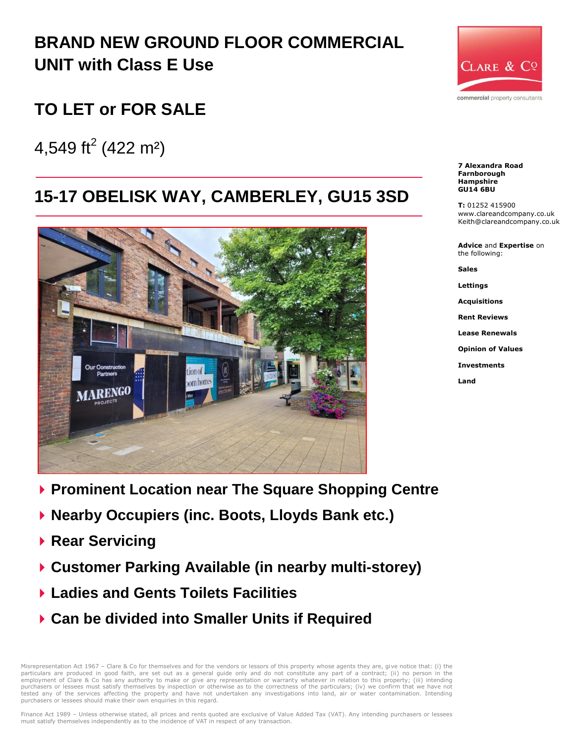# **BRAND NEW GROUND FLOOR COMMERCIAL UNIT with Class E Use**

## **TO LET or FOR SALE**

4,549 ft<sup>2</sup> (422 m<sup>2</sup>)

# **15-17 OBELISK WAY, CAMBERLEY, GU15 3SD**



- **Prominent Location near The Square Shopping Centre**
- **Nearby Occupiers (inc. Boots, Lloyds Bank etc.)**
- **Rear Servicing**
- **Customer Parking Available (in nearby multi-storey)**
- **Ladies and Gents Toilets Facilities**
- **Can be divided into Smaller Units if Required**

Misrepresentation Act 1967 – Clare & Co for themselves and for the vendors or lessors of this property whose agents they are, give notice that: (i) the particulars are produced in good faith, are set out as a general guide only and do not constitute any part of a contract; (ii) no person in the<br>employment of Clare & Co has any authority to make or give any representation purchasers or lessees must satisfy themselves by inspection or otherwise as to the correctness of the particulars; (iv) we confirm that we have not tested any of the services affecting the property and have not undertaken any investigations into land, air or water contamination. Intending purchasers or lessees should make their own enquiries in this regard.



**Rent Reviews**

**Lease Renewals**

**Opinion of Values**

**Investments**

**Land**



**7 Alexandra Road Farnborough Hampshire GU14 6BU**

**T:** 01252 415900 www.clareandcompany.co.uk Keith@clareandcompany.co.uk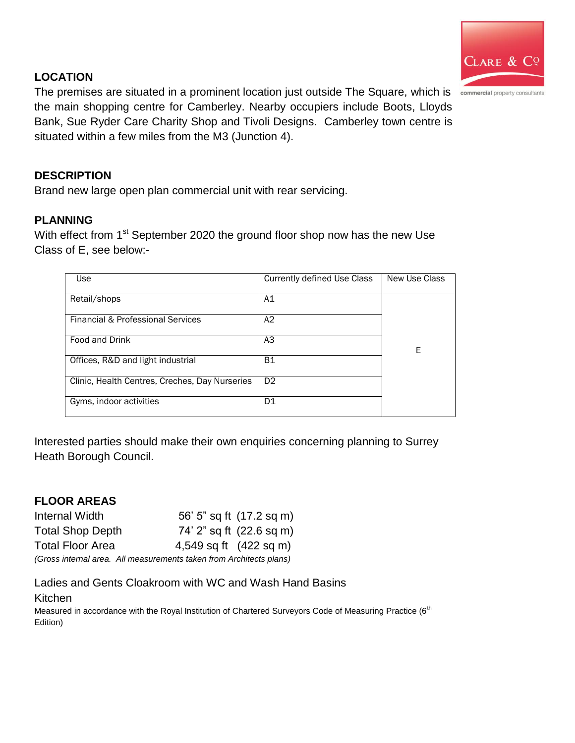

#### **LOCATION**

The premises are situated in a prominent location just outside The Square, which is commercial property consultants the main shopping centre for Camberley. Nearby occupiers include Boots, Lloyds Bank, Sue Ryder Care Charity Shop and Tivoli Designs. Camberley town centre is situated within a few miles from the M3 (Junction 4).

#### **DESCRIPTION**

Brand new large open plan commercial unit with rear servicing.

#### **PLANNING**

With effect from 1<sup>st</sup> September 2020 the ground floor shop now has the new Use Class of E, see below:-

| Use                                            | Currently defined Use Class | New Use Class |
|------------------------------------------------|-----------------------------|---------------|
| Retail/shops                                   | A1                          |               |
| Financial & Professional Services              | A2                          |               |
| Food and Drink                                 | A3                          | E             |
| Offices, R&D and light industrial              | <b>B1</b>                   |               |
| Clinic, Health Centres, Creches, Day Nurseries | D <sub>2</sub>              |               |
| Gyms, indoor activities                        | D1                          |               |

Interested parties should make their own enquiries concerning planning to Surrey Heath Borough Council.

#### **FLOOR AREAS**

| Internal Width                                                      |                        | 56' 5" sq ft (17.2 sq m) |
|---------------------------------------------------------------------|------------------------|--------------------------|
| <b>Total Shop Depth</b>                                             |                        | 74' 2" sq ft (22.6 sq m) |
| <b>Total Floor Area</b>                                             | 4,549 sq ft (422 sq m) |                          |
| Cross internal area. All measurements to keep from Architects plans |                        |                          |

*(Gross internal area. All measurements taken from Architects plans)*

Ladies and Gents Cloakroom with WC and Wash Hand Basins Kitchen

Measured in accordance with the Royal Institution of Chartered Surveyors Code of Measuring Practice (6<sup>th</sup> Edition)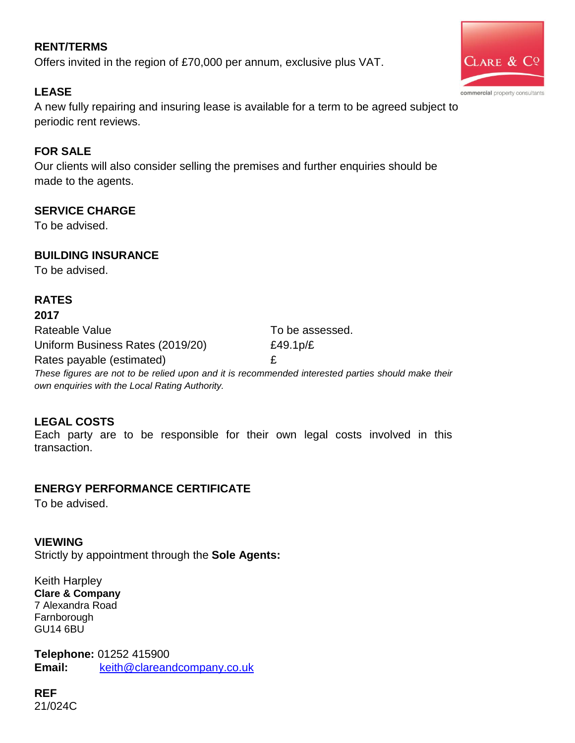### **RENT/TERMS**

Offers invited in the region of £70,000 per annum, exclusive plus VAT.

### **LEASE**

A new fully repairing and insuring lease is available for a term to be agreed subject to periodic rent reviews.

#### **FOR SALE**

Our clients will also consider selling the premises and further enquiries should be made to the agents.

#### **SERVICE CHARGE**

To be advised.

#### **BUILDING INSURANCE**

To be advised.

### **RATES**

#### **2017**

Rateable Value To be assessed. Uniform Business Rates (2019/20) E49.1p/£ Rates payable (estimated) example a set of  $E$ 

*These figures are not to be relied upon and it is recommended interested parties should make their own enquiries with the Local Rating Authority.*

#### **LEGAL COSTS**

Each party are to be responsible for their own legal costs involved in this transaction.

#### **ENERGY PERFORMANCE CERTIFICATE**

To be advised.

#### **VIEWING**

Strictly by appointment through the **Sole Agents:** 

Keith Harpley **Clare & Company** 7 Alexandra Road **Farnborough** GU14 6BU

**Telephone:** 01252 415900 **Email:** [keith@clareandcompany.co.uk](mailto:keith@clareandcompany.co.uk)

**REF** 21/024C